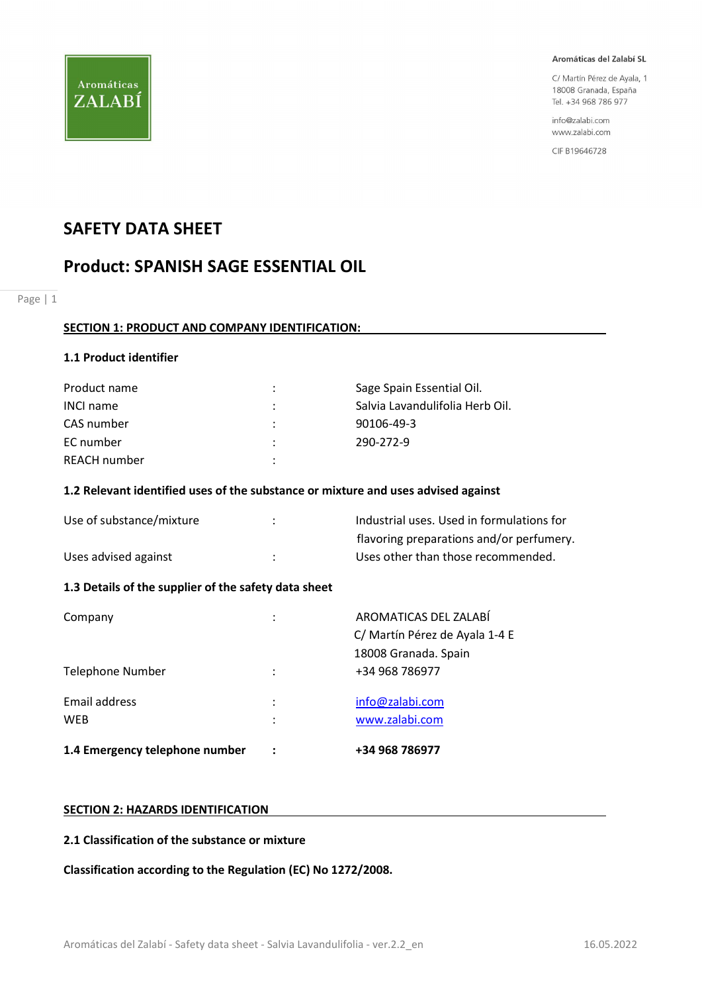

C/ Martín Pérez de Ayala, 1 18008 Granada, España Tel. +34 968 786 977

info@zalabi.com www.zalabi.com

CIF B19646728

## SAFETY DATA SHEET

## Product: SPANISH SAGE ESSENTIAL OIL

Page | 1

#### SECTION 1: PRODUCT AND COMPANY IDENTIFICATION:

#### 1.1 Product identifier

| Product name     | ÷                    | Sage Spain Essential Oil.       |
|------------------|----------------------|---------------------------------|
| <b>INCI name</b> | ÷                    | Salvia Lavandulifolia Herb Oil. |
| CAS number       | $\ddot{\phantom{a}}$ | 90106-49-3                      |
| EC number        | ÷                    | 290-272-9                       |
| REACH number     | ٠                    |                                 |

#### 1.2 Relevant identified uses of the substance or mixture and uses advised against

| Use of substance/mixture | Industrial uses. Used in formulations for |
|--------------------------|-------------------------------------------|
|                          | flavoring preparations and/or perfumery.  |
| Uses advised against     | Uses other than those recommended.        |

#### 1.3 Details of the supplier of the safety data sheet

| 1.4 Emergency telephone number |                           | +34 968 786977                                          |
|--------------------------------|---------------------------|---------------------------------------------------------|
| Email address<br><b>WEB</b>    | $\ddot{\phantom{a}}$<br>٠ | info@zalabi.com<br>www.zalabi.com                       |
| Telephone Number               | ٠                         | 18008 Granada. Spain<br>+34 968 786977                  |
| Company                        | ٠                         | AROMATICAS DEL ZALABÍ<br>C/ Martín Pérez de Ayala 1-4 E |

#### SECTION 2: HAZARDS IDENTIFICATION

#### 2.1 Classification of the substance or mixture

Classification according to the Regulation (EC) No 1272/2008.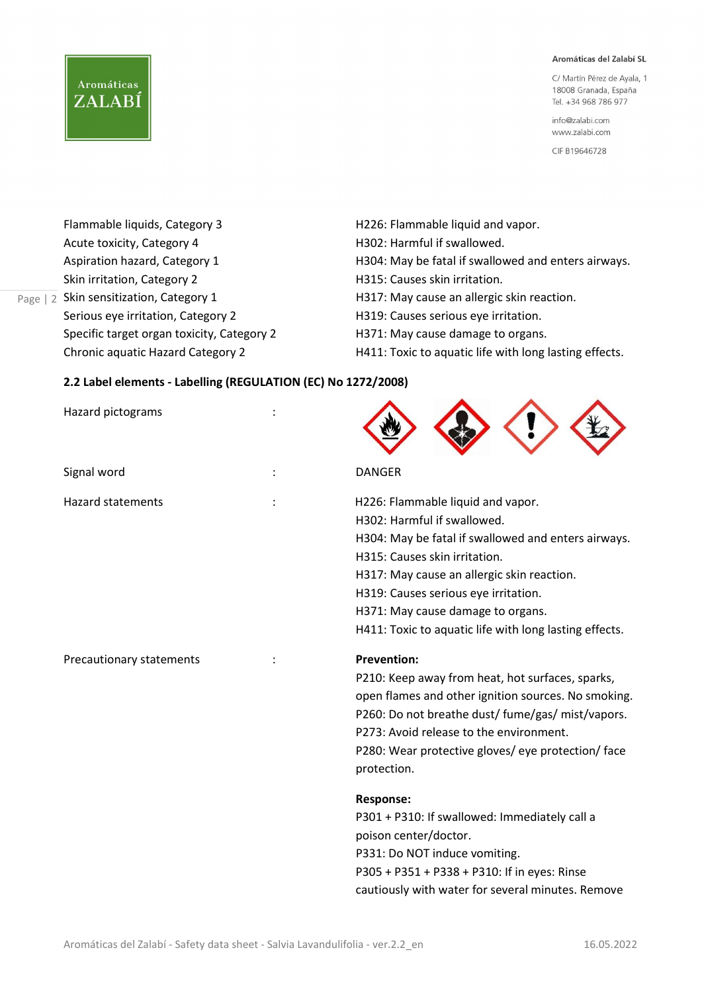C/ Martín Pérez de Ayala, 1 18008 Granada, España Tel. +34 968 786 977

info@zalabi.com www.zalabi.com

CIF B19646728

| Flammable liquids, Category 3              | H226: Flammable liquid and vapor.                      |
|--------------------------------------------|--------------------------------------------------------|
| Acute toxicity, Category 4                 | H302: Harmful if swallowed.                            |
| Aspiration hazard, Category 1              | H304: May be fatal if swallowed and enters airways.    |
| Skin irritation, Category 2                | H315: Causes skin irritation.                          |
| Skin sensitization, Category 1             | H317: May cause an allergic skin reaction.             |
| Serious eye irritation, Category 2         | H319: Causes serious eye irritation.                   |
| Specific target organ toxicity, Category 2 | H371: May cause damage to organs.                      |
| Chronic aquatic Hazard Category 2          | H411: Toxic to aquatic life with long lasting effects. |

#### 2.2 Label elements - Labelling (REGULATION (EC) No 1272/2008)

Page | 2

Aromáticas

ZALABÍ

| Hazard pictograms        |                                                                                                                                                                                                                                                                                                                                               |
|--------------------------|-----------------------------------------------------------------------------------------------------------------------------------------------------------------------------------------------------------------------------------------------------------------------------------------------------------------------------------------------|
| Signal word              | <b>DANGER</b>                                                                                                                                                                                                                                                                                                                                 |
| <b>Hazard statements</b> | H226: Flammable liquid and vapor.<br>H302: Harmful if swallowed.<br>H304: May be fatal if swallowed and enters airways.<br>H315: Causes skin irritation.<br>H317: May cause an allergic skin reaction.<br>H319: Causes serious eye irritation.<br>H371: May cause damage to organs.<br>H411: Toxic to aquatic life with long lasting effects. |
| Precautionary statements | <b>Prevention:</b><br>P210: Keep away from heat, hot surfaces, sparks,<br>open flames and other ignition sources. No smoking.<br>P260: Do not breathe dust/ fume/gas/ mist/vapors.<br>P273: Avoid release to the environment.<br>P280: Wear protective gloves/ eye protection/ face<br>protection.                                            |
|                          | <b>Response:</b><br>P301 + P310: If swallowed: Immediately call a<br>poison center/doctor.<br>P331: Do NOT induce vomiting.<br>P305 + P351 + P338 + P310: If in eyes: Rinse<br>cautiously with water for several minutes. Remove                                                                                                              |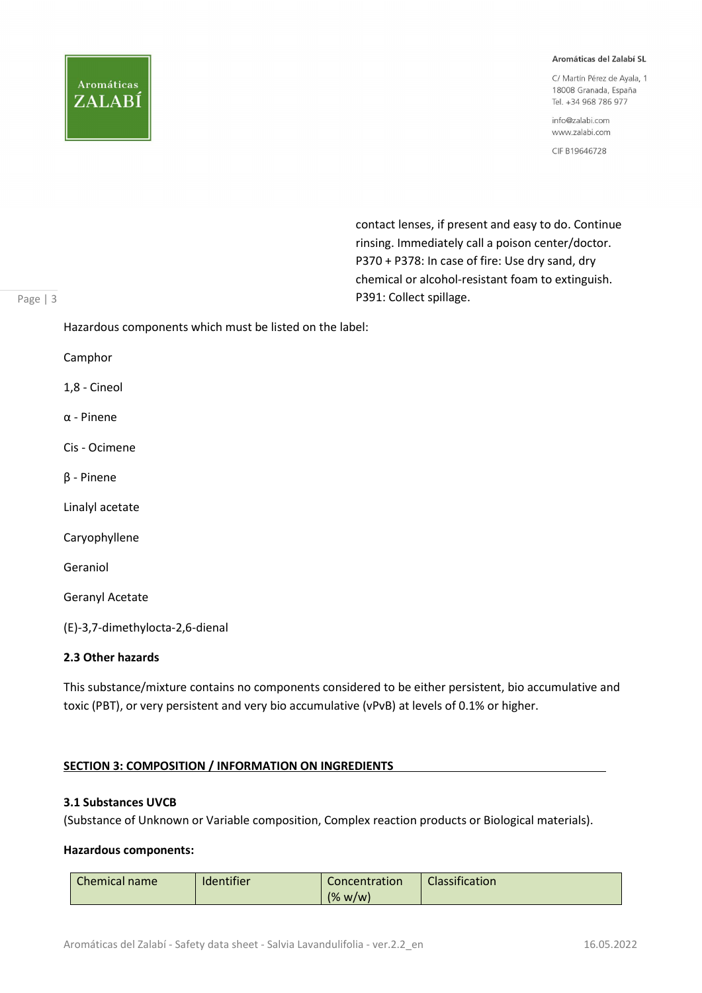# **Aromáticas** ZALABÍ

#### Aromáticas del Zalabí SL

C/ Martín Pérez de Ayala, 1 18008 Granada, España Tel. +34 968 786 977

info@zalabi.com www.zalabi.com

CIF B19646728

 contact lenses, if present and easy to do. Continue rinsing. Immediately call a poison center/doctor. P370 + P378: In case of fire: Use dry sand, dry chemical or alcohol-resistant foam to extinguish. P391: Collect spillage.

#### Page | 3

Hazardous components which must be listed on the label:

Camphor

1,8 - Cineol

α - Pinene

Cis - Ocimene

β - Pinene

Linalyl acetate

Caryophyllene

Geraniol

Geranyl Acetate

(E)-3,7-dimethylocta-2,6-dienal

#### 2.3 Other hazards

This substance/mixture contains no components considered to be either persistent, bio accumulative and toxic (PBT), or very persistent and very bio accumulative (vPvB) at levels of 0.1% or higher.

#### SECTION 3: COMPOSITION / INFORMATION ON INGREDIENTS

#### 3.1 Substances UVCB

(Substance of Unknown or Variable composition, Complex reaction products or Biological materials).

#### Hazardous components:

| <b>Chemical name</b> | <b>Identifier</b> | Concentration | Classification |
|----------------------|-------------------|---------------|----------------|
|                      |                   | (% w/w)       |                |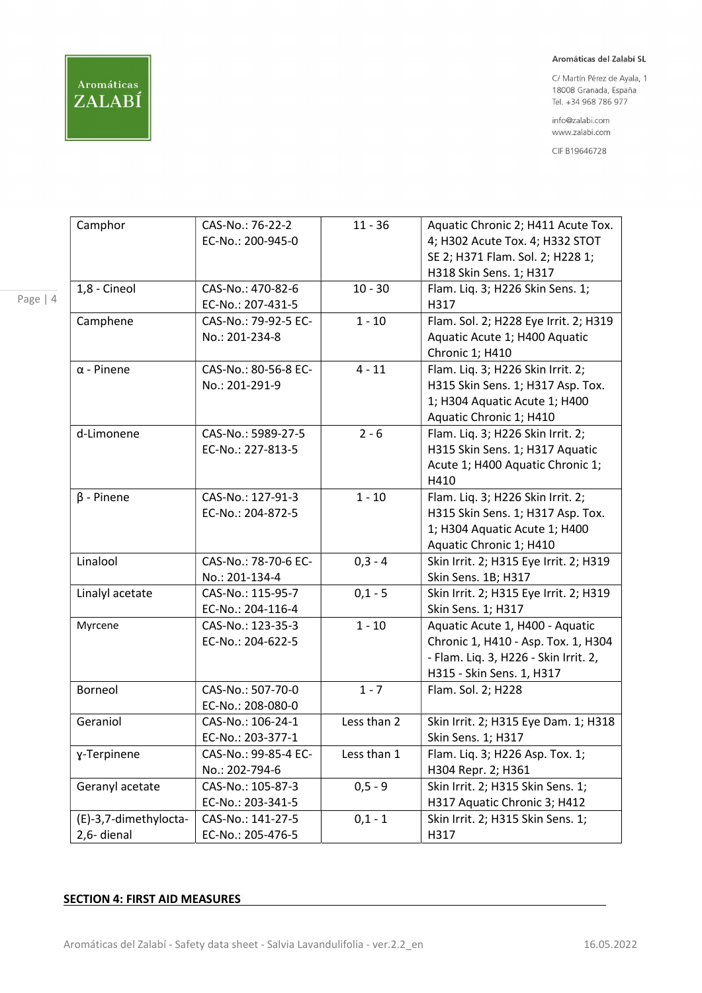

Page | 4

#### Aromáticas del Zalabí SL

C/ Martín Pérez de Ayala, 1 18008 Granada, España Tel. +34 968 786 977

info@zalabi.com www.zalabi.com

CIF B19646728

| EC-No.: 200-945-0<br>4; H302 Acute Tox. 4; H332 STOT<br>SE 2; H371 Flam. Sol. 2; H228 1;<br>H318 Skin Sens. 1; H317<br>CAS-No.: 470-82-6<br>$10 - 30$<br>Flam. Liq. 3; H226 Skin Sens. 1;<br>1,8 - Cineol<br>EC-No.: 207-431-5<br>H317<br>$1 - 10$<br>Flam. Sol. 2; H228 Eye Irrit. 2; H319<br>Camphene<br>CAS-No.: 79-92-5 EC-<br>No.: 201-234-8<br>Aquatic Acute 1; H400 Aquatic<br>Chronic 1; H410<br>$4 - 11$<br>$\alpha$ - Pinene<br>Flam. Liq. 3; H226 Skin Irrit. 2;<br>CAS-No.: 80-56-8 EC-<br>No.: 201-291-9<br>H315 Skin Sens. 1; H317 Asp. Tox.<br>1; H304 Aquatic Acute 1; H400<br>Aquatic Chronic 1; H410<br>CAS-No.: 5989-27-5<br>$2 - 6$<br>Flam. Liq. 3; H226 Skin Irrit. 2;<br>d-Limonene<br>H315 Skin Sens. 1; H317 Aquatic<br>EC-No.: 227-813-5<br>Acute 1; H400 Aquatic Chronic 1;<br>H410<br>CAS-No.: 127-91-3<br>$1 - 10$<br>Flam. Liq. 3; H226 Skin Irrit. 2;<br>$\beta$ - Pinene<br>H315 Skin Sens. 1; H317 Asp. Tox.<br>EC-No.: 204-872-5<br>1; H304 Aquatic Acute 1; H400<br>Aquatic Chronic 1; H410<br>Linalool<br>CAS-No.: 78-70-6 EC-<br>$0,3 - 4$<br>Skin Irrit. 2; H315 Eye Irrit. 2; H319<br>Skin Sens. 1B; H317<br>No.: 201-134-4<br>$0,1 - 5$<br>Linalyl acetate<br>CAS-No.: 115-95-7<br>Skin Irrit. 2; H315 Eye Irrit. 2; H319<br>Skin Sens. 1; H317<br>EC-No.: 204-116-4<br>$1 - 10$<br>Myrcene<br>CAS-No.: 123-35-3<br>Aquatic Acute 1, H400 - Aquatic<br>EC-No.: 204-622-5<br>Chronic 1, H410 - Asp. Tox. 1, H304<br>- Flam. Liq. 3, H226 - Skin Irrit. 2,<br>H315 - Skin Sens. 1, H317<br>Borneol<br>CAS-No.: 507-70-0<br>$1 - 7$<br>Flam. Sol. 2; H228<br>EC-No.: 208-080-0<br>Geraniol<br>Less than 2<br>CAS-No.: 106-24-1<br>Skin Irrit. 2; H315 Eye Dam. 1; H318<br>EC-No.: 203-377-1<br>Skin Sens. 1; H317<br>CAS-No.: 99-85-4 EC-<br>Flam. Liq. 3; H226 Asp. Tox. 1;<br>Less than 1<br>y-Terpinene<br>No.: 202-794-6<br>H304 Repr. 2; H361<br>$0, 5 - 9$<br>Geranyl acetate<br>CAS-No.: 105-87-3<br>Skin Irrit. 2; H315 Skin Sens. 1;<br>EC-No.: 203-341-5<br>H317 Aquatic Chronic 3; H412<br>CAS-No.: 141-27-5<br>(E)-3,7-dimethylocta-<br>Skin Irrit. 2; H315 Skin Sens. 1;<br>$0,1 - 1$<br>EC-No.: 205-476-5<br>2,6- dienal<br>H317 | Camphor | CAS-No.: 76-22-2 | $11 - 36$ | Aquatic Chronic 2; H411 Acute Tox. |
|-------------------------------------------------------------------------------------------------------------------------------------------------------------------------------------------------------------------------------------------------------------------------------------------------------------------------------------------------------------------------------------------------------------------------------------------------------------------------------------------------------------------------------------------------------------------------------------------------------------------------------------------------------------------------------------------------------------------------------------------------------------------------------------------------------------------------------------------------------------------------------------------------------------------------------------------------------------------------------------------------------------------------------------------------------------------------------------------------------------------------------------------------------------------------------------------------------------------------------------------------------------------------------------------------------------------------------------------------------------------------------------------------------------------------------------------------------------------------------------------------------------------------------------------------------------------------------------------------------------------------------------------------------------------------------------------------------------------------------------------------------------------------------------------------------------------------------------------------------------------------------------------------------------------------------------------------------------------------------------------------------------------------------------------------------------------------------------------------------------------------------------------------------------------------------------|---------|------------------|-----------|------------------------------------|
|                                                                                                                                                                                                                                                                                                                                                                                                                                                                                                                                                                                                                                                                                                                                                                                                                                                                                                                                                                                                                                                                                                                                                                                                                                                                                                                                                                                                                                                                                                                                                                                                                                                                                                                                                                                                                                                                                                                                                                                                                                                                                                                                                                                     |         |                  |           |                                    |
|                                                                                                                                                                                                                                                                                                                                                                                                                                                                                                                                                                                                                                                                                                                                                                                                                                                                                                                                                                                                                                                                                                                                                                                                                                                                                                                                                                                                                                                                                                                                                                                                                                                                                                                                                                                                                                                                                                                                                                                                                                                                                                                                                                                     |         |                  |           |                                    |
|                                                                                                                                                                                                                                                                                                                                                                                                                                                                                                                                                                                                                                                                                                                                                                                                                                                                                                                                                                                                                                                                                                                                                                                                                                                                                                                                                                                                                                                                                                                                                                                                                                                                                                                                                                                                                                                                                                                                                                                                                                                                                                                                                                                     |         |                  |           |                                    |
|                                                                                                                                                                                                                                                                                                                                                                                                                                                                                                                                                                                                                                                                                                                                                                                                                                                                                                                                                                                                                                                                                                                                                                                                                                                                                                                                                                                                                                                                                                                                                                                                                                                                                                                                                                                                                                                                                                                                                                                                                                                                                                                                                                                     |         |                  |           |                                    |
|                                                                                                                                                                                                                                                                                                                                                                                                                                                                                                                                                                                                                                                                                                                                                                                                                                                                                                                                                                                                                                                                                                                                                                                                                                                                                                                                                                                                                                                                                                                                                                                                                                                                                                                                                                                                                                                                                                                                                                                                                                                                                                                                                                                     |         |                  |           |                                    |
|                                                                                                                                                                                                                                                                                                                                                                                                                                                                                                                                                                                                                                                                                                                                                                                                                                                                                                                                                                                                                                                                                                                                                                                                                                                                                                                                                                                                                                                                                                                                                                                                                                                                                                                                                                                                                                                                                                                                                                                                                                                                                                                                                                                     |         |                  |           |                                    |
|                                                                                                                                                                                                                                                                                                                                                                                                                                                                                                                                                                                                                                                                                                                                                                                                                                                                                                                                                                                                                                                                                                                                                                                                                                                                                                                                                                                                                                                                                                                                                                                                                                                                                                                                                                                                                                                                                                                                                                                                                                                                                                                                                                                     |         |                  |           |                                    |
|                                                                                                                                                                                                                                                                                                                                                                                                                                                                                                                                                                                                                                                                                                                                                                                                                                                                                                                                                                                                                                                                                                                                                                                                                                                                                                                                                                                                                                                                                                                                                                                                                                                                                                                                                                                                                                                                                                                                                                                                                                                                                                                                                                                     |         |                  |           |                                    |
|                                                                                                                                                                                                                                                                                                                                                                                                                                                                                                                                                                                                                                                                                                                                                                                                                                                                                                                                                                                                                                                                                                                                                                                                                                                                                                                                                                                                                                                                                                                                                                                                                                                                                                                                                                                                                                                                                                                                                                                                                                                                                                                                                                                     |         |                  |           |                                    |
|                                                                                                                                                                                                                                                                                                                                                                                                                                                                                                                                                                                                                                                                                                                                                                                                                                                                                                                                                                                                                                                                                                                                                                                                                                                                                                                                                                                                                                                                                                                                                                                                                                                                                                                                                                                                                                                                                                                                                                                                                                                                                                                                                                                     |         |                  |           |                                    |
|                                                                                                                                                                                                                                                                                                                                                                                                                                                                                                                                                                                                                                                                                                                                                                                                                                                                                                                                                                                                                                                                                                                                                                                                                                                                                                                                                                                                                                                                                                                                                                                                                                                                                                                                                                                                                                                                                                                                                                                                                                                                                                                                                                                     |         |                  |           |                                    |
|                                                                                                                                                                                                                                                                                                                                                                                                                                                                                                                                                                                                                                                                                                                                                                                                                                                                                                                                                                                                                                                                                                                                                                                                                                                                                                                                                                                                                                                                                                                                                                                                                                                                                                                                                                                                                                                                                                                                                                                                                                                                                                                                                                                     |         |                  |           |                                    |
|                                                                                                                                                                                                                                                                                                                                                                                                                                                                                                                                                                                                                                                                                                                                                                                                                                                                                                                                                                                                                                                                                                                                                                                                                                                                                                                                                                                                                                                                                                                                                                                                                                                                                                                                                                                                                                                                                                                                                                                                                                                                                                                                                                                     |         |                  |           |                                    |
|                                                                                                                                                                                                                                                                                                                                                                                                                                                                                                                                                                                                                                                                                                                                                                                                                                                                                                                                                                                                                                                                                                                                                                                                                                                                                                                                                                                                                                                                                                                                                                                                                                                                                                                                                                                                                                                                                                                                                                                                                                                                                                                                                                                     |         |                  |           |                                    |
|                                                                                                                                                                                                                                                                                                                                                                                                                                                                                                                                                                                                                                                                                                                                                                                                                                                                                                                                                                                                                                                                                                                                                                                                                                                                                                                                                                                                                                                                                                                                                                                                                                                                                                                                                                                                                                                                                                                                                                                                                                                                                                                                                                                     |         |                  |           |                                    |
|                                                                                                                                                                                                                                                                                                                                                                                                                                                                                                                                                                                                                                                                                                                                                                                                                                                                                                                                                                                                                                                                                                                                                                                                                                                                                                                                                                                                                                                                                                                                                                                                                                                                                                                                                                                                                                                                                                                                                                                                                                                                                                                                                                                     |         |                  |           |                                    |
|                                                                                                                                                                                                                                                                                                                                                                                                                                                                                                                                                                                                                                                                                                                                                                                                                                                                                                                                                                                                                                                                                                                                                                                                                                                                                                                                                                                                                                                                                                                                                                                                                                                                                                                                                                                                                                                                                                                                                                                                                                                                                                                                                                                     |         |                  |           |                                    |
|                                                                                                                                                                                                                                                                                                                                                                                                                                                                                                                                                                                                                                                                                                                                                                                                                                                                                                                                                                                                                                                                                                                                                                                                                                                                                                                                                                                                                                                                                                                                                                                                                                                                                                                                                                                                                                                                                                                                                                                                                                                                                                                                                                                     |         |                  |           |                                    |
|                                                                                                                                                                                                                                                                                                                                                                                                                                                                                                                                                                                                                                                                                                                                                                                                                                                                                                                                                                                                                                                                                                                                                                                                                                                                                                                                                                                                                                                                                                                                                                                                                                                                                                                                                                                                                                                                                                                                                                                                                                                                                                                                                                                     |         |                  |           |                                    |
|                                                                                                                                                                                                                                                                                                                                                                                                                                                                                                                                                                                                                                                                                                                                                                                                                                                                                                                                                                                                                                                                                                                                                                                                                                                                                                                                                                                                                                                                                                                                                                                                                                                                                                                                                                                                                                                                                                                                                                                                                                                                                                                                                                                     |         |                  |           |                                    |
|                                                                                                                                                                                                                                                                                                                                                                                                                                                                                                                                                                                                                                                                                                                                                                                                                                                                                                                                                                                                                                                                                                                                                                                                                                                                                                                                                                                                                                                                                                                                                                                                                                                                                                                                                                                                                                                                                                                                                                                                                                                                                                                                                                                     |         |                  |           |                                    |
|                                                                                                                                                                                                                                                                                                                                                                                                                                                                                                                                                                                                                                                                                                                                                                                                                                                                                                                                                                                                                                                                                                                                                                                                                                                                                                                                                                                                                                                                                                                                                                                                                                                                                                                                                                                                                                                                                                                                                                                                                                                                                                                                                                                     |         |                  |           |                                    |
|                                                                                                                                                                                                                                                                                                                                                                                                                                                                                                                                                                                                                                                                                                                                                                                                                                                                                                                                                                                                                                                                                                                                                                                                                                                                                                                                                                                                                                                                                                                                                                                                                                                                                                                                                                                                                                                                                                                                                                                                                                                                                                                                                                                     |         |                  |           |                                    |
|                                                                                                                                                                                                                                                                                                                                                                                                                                                                                                                                                                                                                                                                                                                                                                                                                                                                                                                                                                                                                                                                                                                                                                                                                                                                                                                                                                                                                                                                                                                                                                                                                                                                                                                                                                                                                                                                                                                                                                                                                                                                                                                                                                                     |         |                  |           |                                    |
|                                                                                                                                                                                                                                                                                                                                                                                                                                                                                                                                                                                                                                                                                                                                                                                                                                                                                                                                                                                                                                                                                                                                                                                                                                                                                                                                                                                                                                                                                                                                                                                                                                                                                                                                                                                                                                                                                                                                                                                                                                                                                                                                                                                     |         |                  |           |                                    |
|                                                                                                                                                                                                                                                                                                                                                                                                                                                                                                                                                                                                                                                                                                                                                                                                                                                                                                                                                                                                                                                                                                                                                                                                                                                                                                                                                                                                                                                                                                                                                                                                                                                                                                                                                                                                                                                                                                                                                                                                                                                                                                                                                                                     |         |                  |           |                                    |
|                                                                                                                                                                                                                                                                                                                                                                                                                                                                                                                                                                                                                                                                                                                                                                                                                                                                                                                                                                                                                                                                                                                                                                                                                                                                                                                                                                                                                                                                                                                                                                                                                                                                                                                                                                                                                                                                                                                                                                                                                                                                                                                                                                                     |         |                  |           |                                    |
|                                                                                                                                                                                                                                                                                                                                                                                                                                                                                                                                                                                                                                                                                                                                                                                                                                                                                                                                                                                                                                                                                                                                                                                                                                                                                                                                                                                                                                                                                                                                                                                                                                                                                                                                                                                                                                                                                                                                                                                                                                                                                                                                                                                     |         |                  |           |                                    |
|                                                                                                                                                                                                                                                                                                                                                                                                                                                                                                                                                                                                                                                                                                                                                                                                                                                                                                                                                                                                                                                                                                                                                                                                                                                                                                                                                                                                                                                                                                                                                                                                                                                                                                                                                                                                                                                                                                                                                                                                                                                                                                                                                                                     |         |                  |           |                                    |
|                                                                                                                                                                                                                                                                                                                                                                                                                                                                                                                                                                                                                                                                                                                                                                                                                                                                                                                                                                                                                                                                                                                                                                                                                                                                                                                                                                                                                                                                                                                                                                                                                                                                                                                                                                                                                                                                                                                                                                                                                                                                                                                                                                                     |         |                  |           |                                    |
|                                                                                                                                                                                                                                                                                                                                                                                                                                                                                                                                                                                                                                                                                                                                                                                                                                                                                                                                                                                                                                                                                                                                                                                                                                                                                                                                                                                                                                                                                                                                                                                                                                                                                                                                                                                                                                                                                                                                                                                                                                                                                                                                                                                     |         |                  |           |                                    |
|                                                                                                                                                                                                                                                                                                                                                                                                                                                                                                                                                                                                                                                                                                                                                                                                                                                                                                                                                                                                                                                                                                                                                                                                                                                                                                                                                                                                                                                                                                                                                                                                                                                                                                                                                                                                                                                                                                                                                                                                                                                                                                                                                                                     |         |                  |           |                                    |
|                                                                                                                                                                                                                                                                                                                                                                                                                                                                                                                                                                                                                                                                                                                                                                                                                                                                                                                                                                                                                                                                                                                                                                                                                                                                                                                                                                                                                                                                                                                                                                                                                                                                                                                                                                                                                                                                                                                                                                                                                                                                                                                                                                                     |         |                  |           |                                    |
|                                                                                                                                                                                                                                                                                                                                                                                                                                                                                                                                                                                                                                                                                                                                                                                                                                                                                                                                                                                                                                                                                                                                                                                                                                                                                                                                                                                                                                                                                                                                                                                                                                                                                                                                                                                                                                                                                                                                                                                                                                                                                                                                                                                     |         |                  |           |                                    |
|                                                                                                                                                                                                                                                                                                                                                                                                                                                                                                                                                                                                                                                                                                                                                                                                                                                                                                                                                                                                                                                                                                                                                                                                                                                                                                                                                                                                                                                                                                                                                                                                                                                                                                                                                                                                                                                                                                                                                                                                                                                                                                                                                                                     |         |                  |           |                                    |
|                                                                                                                                                                                                                                                                                                                                                                                                                                                                                                                                                                                                                                                                                                                                                                                                                                                                                                                                                                                                                                                                                                                                                                                                                                                                                                                                                                                                                                                                                                                                                                                                                                                                                                                                                                                                                                                                                                                                                                                                                                                                                                                                                                                     |         |                  |           |                                    |
|                                                                                                                                                                                                                                                                                                                                                                                                                                                                                                                                                                                                                                                                                                                                                                                                                                                                                                                                                                                                                                                                                                                                                                                                                                                                                                                                                                                                                                                                                                                                                                                                                                                                                                                                                                                                                                                                                                                                                                                                                                                                                                                                                                                     |         |                  |           |                                    |
|                                                                                                                                                                                                                                                                                                                                                                                                                                                                                                                                                                                                                                                                                                                                                                                                                                                                                                                                                                                                                                                                                                                                                                                                                                                                                                                                                                                                                                                                                                                                                                                                                                                                                                                                                                                                                                                                                                                                                                                                                                                                                                                                                                                     |         |                  |           |                                    |

#### SECTION 4: FIRST AID MEASURES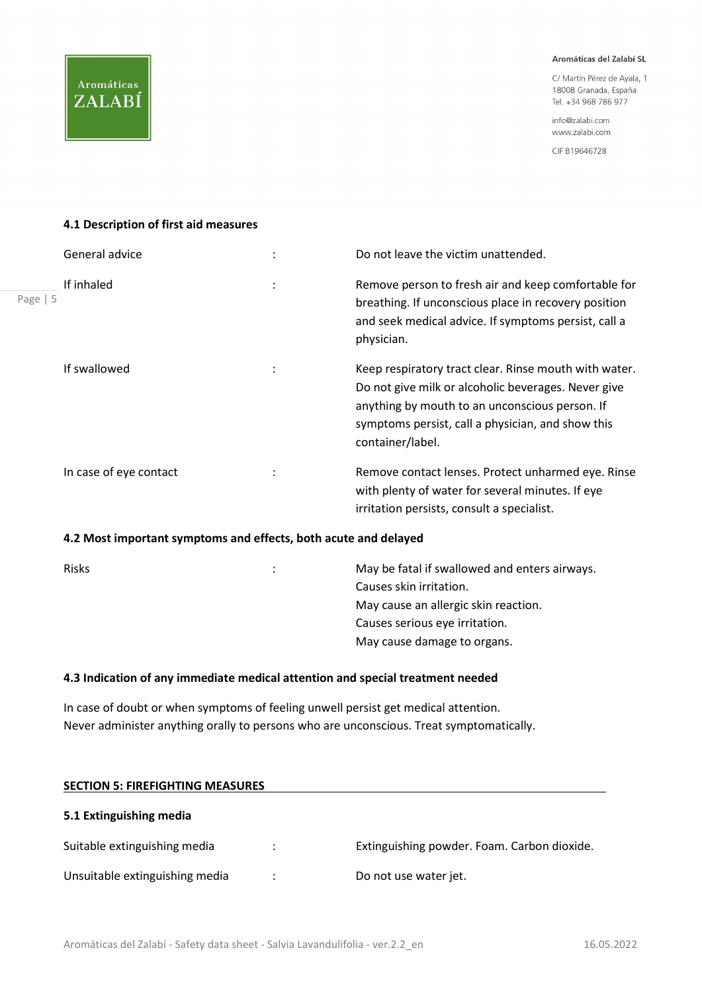C/ Martín Pérez de Ayala, 1 18008 Granada, España Tel. +34 968 786 977

info@zalabi.com www.zalabi.com

CIF B19646728

#### 4.1 Description of first aid measures

|            | General advice         |                | Do not leave the victim unattended.                                                                                                                                                                                                     |
|------------|------------------------|----------------|-----------------------------------------------------------------------------------------------------------------------------------------------------------------------------------------------------------------------------------------|
| Page   $5$ | If inhaled             | $\ddot{\cdot}$ | Remove person to fresh air and keep comfortable for<br>breathing. If unconscious place in recovery position<br>and seek medical advice. If symptoms persist, call a<br>physician.                                                       |
|            | If swallowed           |                | Keep respiratory tract clear. Rinse mouth with water.<br>Do not give milk or alcoholic beverages. Never give<br>anything by mouth to an unconscious person. If<br>symptoms persist, call a physician, and show this<br>container/label. |
|            | In case of eye contact |                | Remove contact lenses. Protect unharmed eye. Rinse<br>with plenty of water for several minutes. If eye<br>irritation persists, consult a specialist.                                                                                    |

#### 4.2 Most important symptoms and effects, both acute and delayed

| <b>Risks</b> | ÷ | May be fatal if swallowed and enters airways. |
|--------------|---|-----------------------------------------------|
|              |   | Causes skin irritation.                       |
|              |   | May cause an allergic skin reaction.          |
|              |   | Causes serious eye irritation.                |
|              |   | May cause damage to organs.                   |
|              |   |                                               |

#### 4.3 Indication of any immediate medical attention and special treatment needed

In case of doubt or when symptoms of feeling unwell persist get medical attention. Never administer anything orally to persons who are unconscious. Treat symptomatically.

| <b>SECTION 5: FIREFIGHTING MEASURES</b> |   |                                             |
|-----------------------------------------|---|---------------------------------------------|
| 5.1 Extinguishing media                 |   |                                             |
| Suitable extinguishing media            |   | Extinguishing powder. Foam. Carbon dioxide. |
| Unsuitable extinguishing media          | ٠ | Do not use water jet.                       |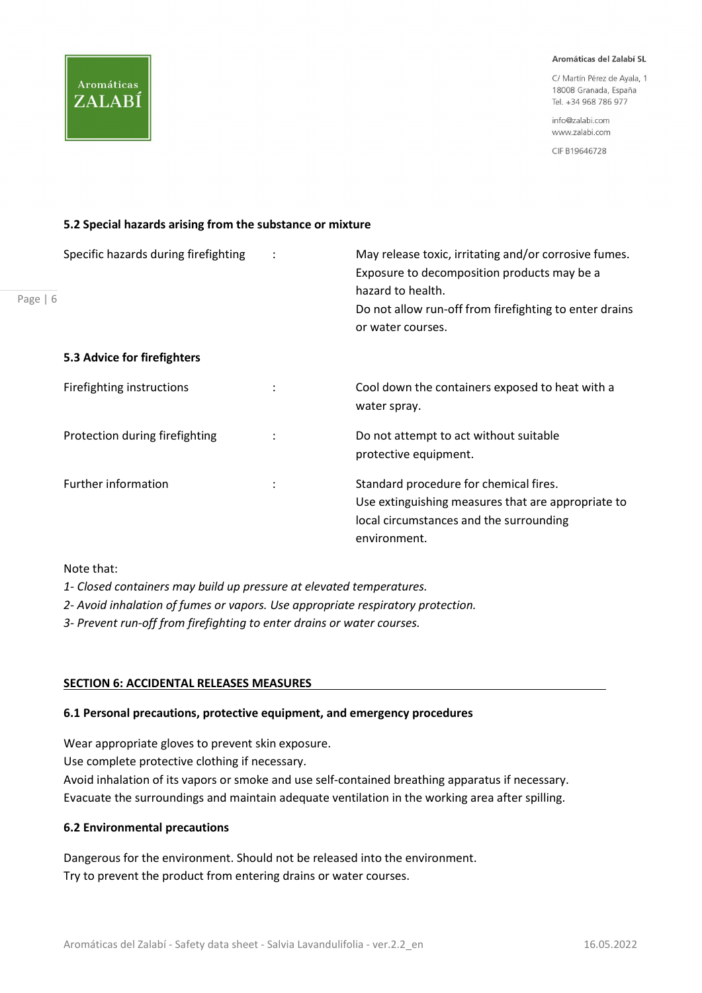C/ Martín Pérez de Ayala, 1 18008 Granada, España Tel. +34 968 786 977

info@zalabi.com www.zalabi.com

CIF B19646728

## 5.2 Special hazards arising from the substance or mixture

| Page $  6$ | Specific hazards during firefighting | May release toxic, irritating and/or corrosive fumes.<br>Exposure to decomposition products may be a<br>hazard to health.<br>Do not allow run-off from firefighting to enter drains<br>or water courses. |
|------------|--------------------------------------|----------------------------------------------------------------------------------------------------------------------------------------------------------------------------------------------------------|
|            | 5.3 Advice for firefighters          |                                                                                                                                                                                                          |
|            | Firefighting instructions            | Cool down the containers exposed to heat with a<br>water spray.                                                                                                                                          |
|            | Protection during firefighting       | Do not attempt to act without suitable<br>protective equipment.                                                                                                                                          |
|            | <b>Further information</b>           | Standard procedure for chemical fires.<br>Use extinguishing measures that are appropriate to<br>local circumstances and the surrounding<br>environment.                                                  |

Note that:

Aromáticas

ZALABÍ

1- Closed containers may build up pressure at elevated temperatures.

2- Avoid inhalation of fumes or vapors. Use appropriate respiratory protection.

3- Prevent run-off from firefighting to enter drains or water courses.

#### SECTION 6: ACCIDENTAL RELEASES MEASURES

#### 6.1 Personal precautions, protective equipment, and emergency procedures

Wear appropriate gloves to prevent skin exposure.

Use complete protective clothing if necessary.

Avoid inhalation of its vapors or smoke and use self-contained breathing apparatus if necessary. Evacuate the surroundings and maintain adequate ventilation in the working area after spilling.

#### 6.2 Environmental precautions

Dangerous for the environment. Should not be released into the environment. Try to prevent the product from entering drains or water courses.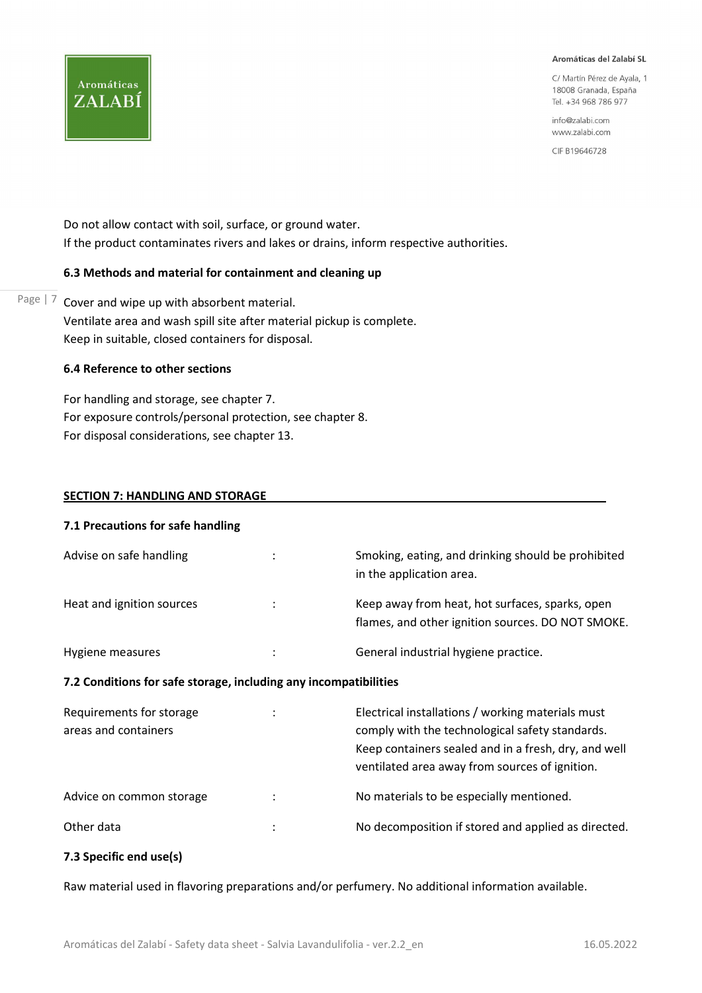C/ Martín Pérez de Avala 1 18008 Granada, España Tel. +34 968 786 977

info@zalabi.com www.zalabi.com

CIF B19646728

Do not allow contact with soil, surface, or ground water. If the product contaminates rivers and lakes or drains, inform respective authorities.

#### 6.3 Methods and material for containment and cleaning up

Page  $\vert$  7 Cover and wipe up with absorbent material. Ventilate area and wash spill site after material pickup is complete. Keep in suitable, closed containers for disposal.

#### 6.4 Reference to other sections

**Aromáticas** 

ZALABÍ

For handling and storage, see chapter 7. For exposure controls/personal protection, see chapter 8. For disposal considerations, see chapter 13.

#### SECTION 7: HANDLING AND STORAGE

| 7.1 Precautions for safe handling                                |   |                                                                                                                                                                                                                |
|------------------------------------------------------------------|---|----------------------------------------------------------------------------------------------------------------------------------------------------------------------------------------------------------------|
| Advise on safe handling                                          |   | Smoking, eating, and drinking should be prohibited<br>in the application area.                                                                                                                                 |
| Heat and ignition sources                                        |   | Keep away from heat, hot surfaces, sparks, open<br>flames, and other ignition sources. DO NOT SMOKE.                                                                                                           |
| Hygiene measures                                                 | ÷ | General industrial hygiene practice.                                                                                                                                                                           |
| 7.2 Conditions for safe storage, including any incompatibilities |   |                                                                                                                                                                                                                |
| Requirements for storage<br>areas and containers                 |   | Electrical installations / working materials must<br>comply with the technological safety standards.<br>Keep containers sealed and in a fresh, dry, and well<br>ventilated area away from sources of ignition. |

Advice on common storage : The Section of the Normal Mometerials to be especially mentioned.

## Other data **in the composition if stored and applied as directed.** No decomposition if stored and applied as directed.

#### 7.3 Specific end use(s)

Raw material used in flavoring preparations and/or perfumery. No additional information available.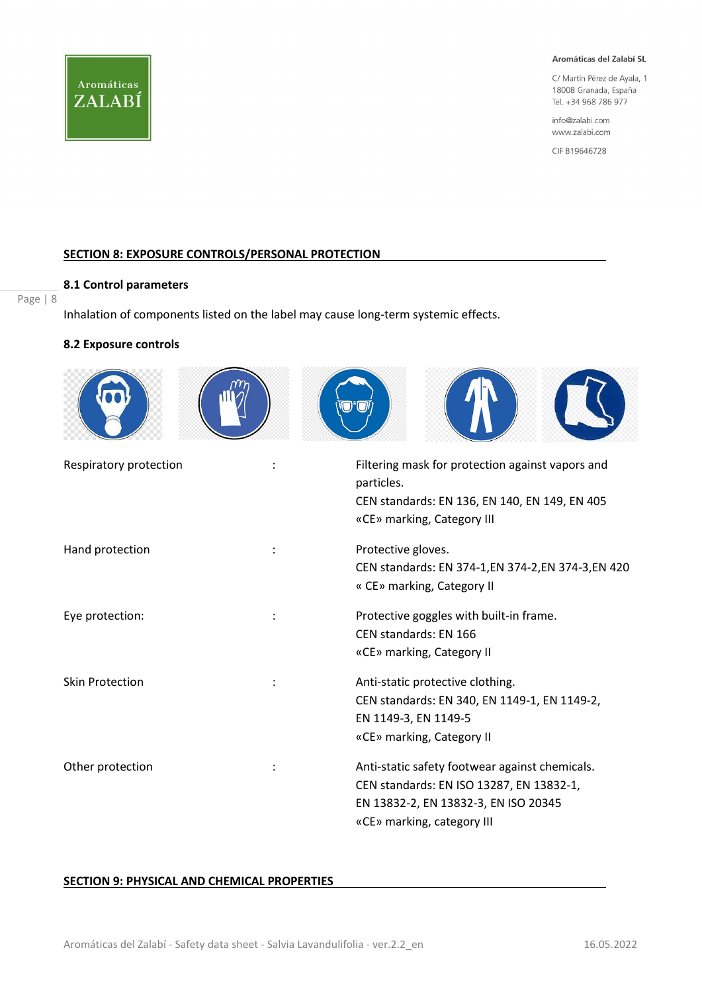

C/ Martín Pérez de Ayala, 1 18008 Granada, España Tel. +34 968 786 977

info@zalabi.com www.zalabi.com

CIF B19646728

#### SECTION 8: EXPOSURE CONTROLS/PERSONAL PROTECTION

#### 8.1 Control parameters

Page | 8

Inhalation of components listed on the label may cause long-term systemic effects.

#### 8.2 Exposure controls

| Respiratory protection | Filtering mask for protection against vapors and<br>particles.<br>CEN standards: EN 136, EN 140, EN 149, EN 405<br>«CE» marking, Category III                    |
|------------------------|------------------------------------------------------------------------------------------------------------------------------------------------------------------|
| Hand protection        | Protective gloves.<br>CEN standards: EN 374-1, EN 374-2, EN 374-3, EN 420<br>« CE» marking, Category II                                                          |
| Eye protection:        | Protective goggles with built-in frame.<br>CEN standards: EN 166<br>«CE» marking, Category II                                                                    |
| <b>Skin Protection</b> | Anti-static protective clothing.<br>CEN standards: EN 340, EN 1149-1, EN 1149-2,<br>EN 1149-3, EN 1149-5<br>«CE» marking, Category II                            |
| Other protection       | Anti-static safety footwear against chemicals.<br>CEN standards: EN ISO 13287, EN 13832-1,<br>EN 13832-2, EN 13832-3, EN ISO 20345<br>«CE» marking, category III |

#### SECTION 9: PHYSICAL AND CHEMICAL PROPERTIES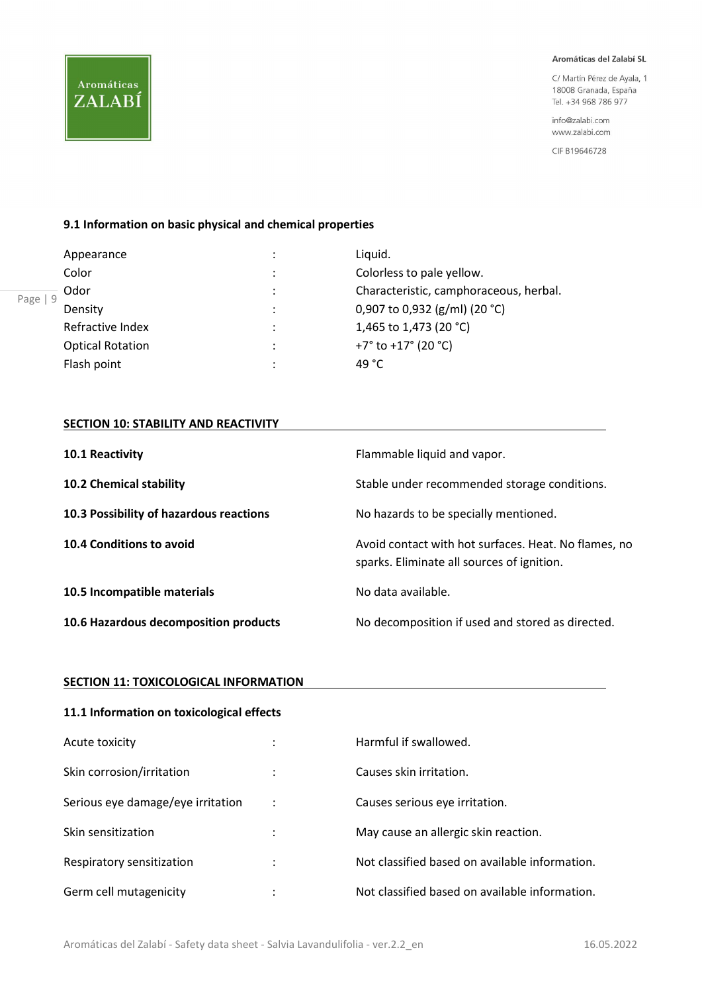C/ Martín Pérez de Ayala, 1 18008 Granada, España Tel. +34 968 786 977

info@zalabi.com www.zalabi.com

CIF B19646728

#### 9.1 Information on basic physical and chemical properties

| Appearance              | ٠         | Liquid.                                        |
|-------------------------|-----------|------------------------------------------------|
| Color                   | ٠         | Colorless to pale yellow.                      |
| Odor                    | $\bullet$ | Characteristic, camphoraceous, herbal.         |
| Density                 | $\bullet$ | 0,907 to 0,932 (g/ml) (20 °C)                  |
| Refractive Index        | ٠         | 1,465 to 1,473 (20 °C)                         |
| <b>Optical Rotation</b> | $\bullet$ | +7 $\degree$ to +17 $\degree$ (20 $\degree$ C) |
| Flash point             | $\bullet$ | 49 $^{\circ}$ C                                |

#### **SECTION 10: STABILITY AND REACTIVITY**

| 10.1 Reactivity                         | Flammable liquid and vapor.                                                                        |
|-----------------------------------------|----------------------------------------------------------------------------------------------------|
| <b>10.2 Chemical stability</b>          | Stable under recommended storage conditions.                                                       |
| 10.3 Possibility of hazardous reactions | No hazards to be specially mentioned.                                                              |
| 10.4 Conditions to avoid                | Avoid contact with hot surfaces. Heat. No flames, no<br>sparks. Eliminate all sources of ignition. |
| 10.5 Incompatible materials             | No data available.                                                                                 |
| 10.6 Hazardous decomposition products   | No decomposition if used and stored as directed.                                                   |

#### **SECTION 11: TOXICOLOGICAL INFORMATION**

| 11.1 Information on toxicological effects |   |                                                |  |
|-------------------------------------------|---|------------------------------------------------|--|
| Acute toxicity                            |   | Harmful if swallowed.                          |  |
| Skin corrosion/irritation                 |   | Causes skin irritation.                        |  |
| Serious eye damage/eye irritation         |   | Causes serious eye irritation.                 |  |
| Skin sensitization                        |   | May cause an allergic skin reaction.           |  |
| Respiratory sensitization                 | ٠ | Not classified based on available information. |  |
| Germ cell mutagenicity                    |   | Not classified based on available information. |  |

Aromáticas

ZALABÍ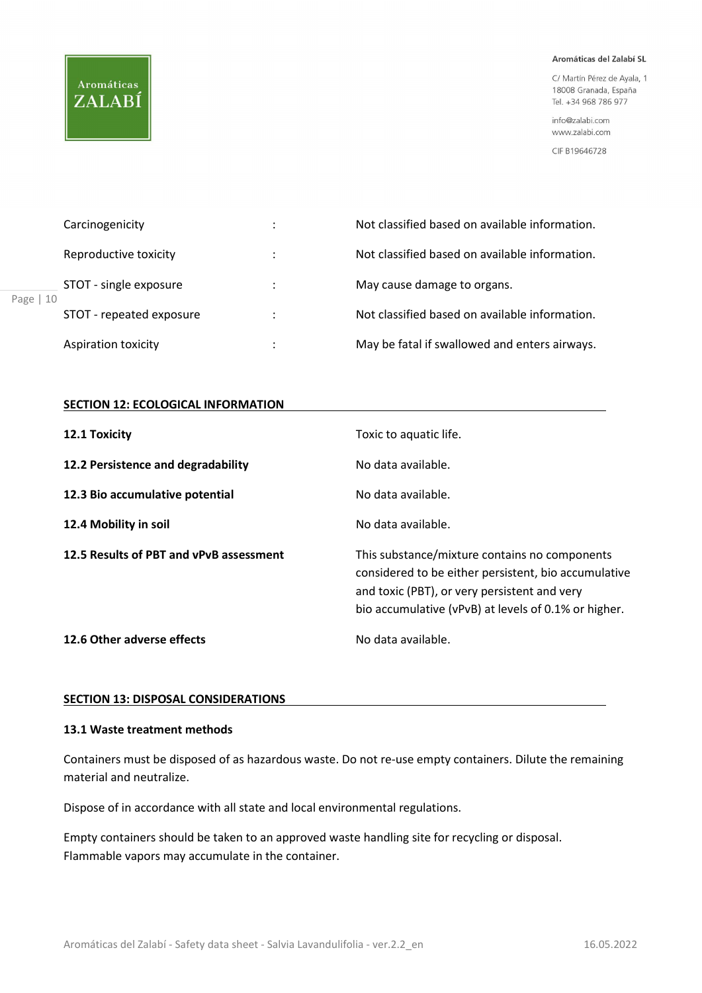## **Aromáticas** ZALABÍ

Page |

#### Aromáticas del Zalabí SL

C/ Martín Pérez de Ayala, 1 18008 Granada, España Tel. +34 968 786 977

info@zalabi.com www.zalabi.com

CIF B19646728

|    | Carcinogenicity          | ٠<br>$\cdot$   | Not classified based on available information. |
|----|--------------------------|----------------|------------------------------------------------|
|    | Reproductive toxicity    |                | Not classified based on available information. |
| 10 | STOT - single exposure   | $\ddot{\cdot}$ | May cause damage to organs.                    |
|    | STOT - repeated exposure | ÷              | Not classified based on available information. |
|    | Aspiration toxicity      | ٠              | May be fatal if swallowed and enters airways.  |

#### **SECTION 12: ECOLOGICAL INFORMATION**

| 12.1 Toxicity                           | Toxic to aquatic life.                                                                                                                                                                                        |
|-----------------------------------------|---------------------------------------------------------------------------------------------------------------------------------------------------------------------------------------------------------------|
| 12.2 Persistence and degradability      | No data available.                                                                                                                                                                                            |
| 12.3 Bio accumulative potential         | No data available.                                                                                                                                                                                            |
| 12.4 Mobility in soil                   | No data available.                                                                                                                                                                                            |
| 12.5 Results of PBT and vPvB assessment | This substance/mixture contains no components<br>considered to be either persistent, bio accumulative<br>and toxic (PBT), or very persistent and very<br>bio accumulative (vPvB) at levels of 0.1% or higher. |
|                                         |                                                                                                                                                                                                               |

#### SECTION 13: DISPOSAL CONSIDERATIONS

### 13.1 Waste treatment methods

Containers must be disposed of as hazardous waste. Do not re-use empty containers. Dilute the remaining material and neutralize.

Dispose of in accordance with all state and local environmental regulations.

Empty containers should be taken to an approved waste handling site for recycling or disposal. Flammable vapors may accumulate in the container.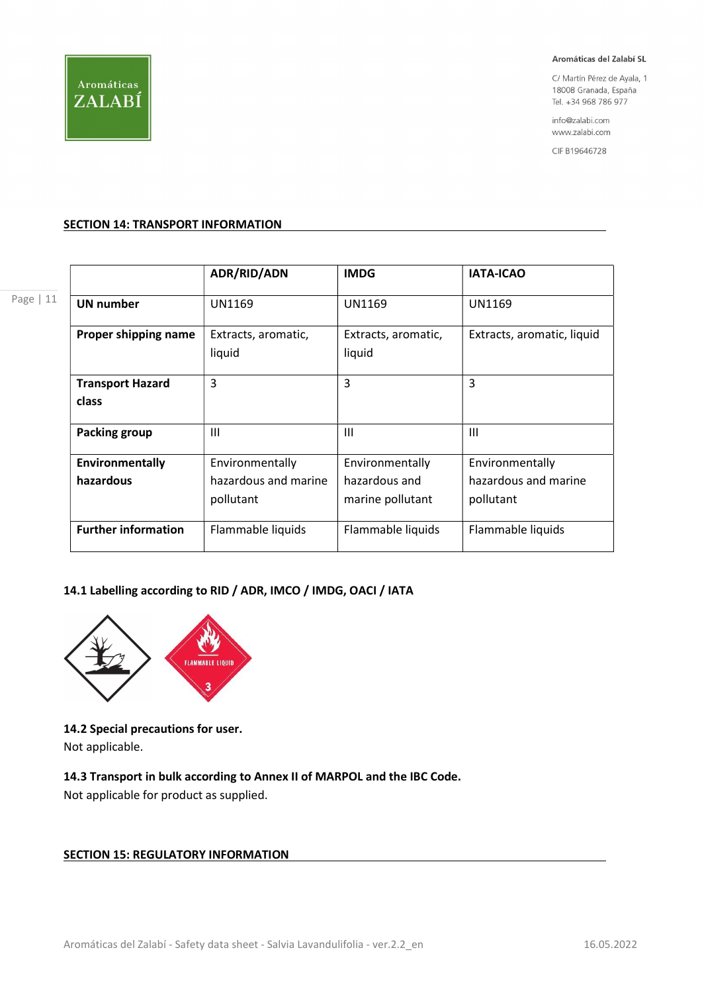

C/ Martín Pérez de Ayala, 1 18008 Granada, España Tel. +34 968 786 977

info@zalabi.com www.zalabi.com

CIF B19646728

#### SECTION 14: TRANSPORT INFORMATION

Page | 11

|                                  | ADR/RID/ADN                   | <b>IMDG</b>                   | <b>IATA-ICAO</b>           |
|----------------------------------|-------------------------------|-------------------------------|----------------------------|
| <b>UN number</b>                 | UN1169                        | UN1169                        | UN1169                     |
| Proper shipping name             | Extracts, aromatic,<br>liquid | Extracts, aromatic,<br>liquid | Extracts, aromatic, liquid |
| <b>Transport Hazard</b><br>class | 3                             | 3                             | 3                          |
| <b>Packing group</b>             | $\mathbf{III}$                | Ш                             | Ш                          |
| Environmentally                  | Environmentally               | Environmentally               | Environmentally            |
| hazardous                        | hazardous and marine          | hazardous and                 | hazardous and marine       |
|                                  | pollutant                     | marine pollutant              | pollutant                  |
| <b>Further information</b>       | Flammable liquids             | Flammable liquids             | Flammable liquids          |

#### 14.1 Labelling according to RID / ADR, IMCO / IMDG, OACI / IATA



14.2 Special precautions for user.

Not applicable.

## 14.3 Transport in bulk according to Annex II of MARPOL and the IBC Code.

Not applicable for product as supplied.

## **SECTION 15: REGULATORY INFORMATION**